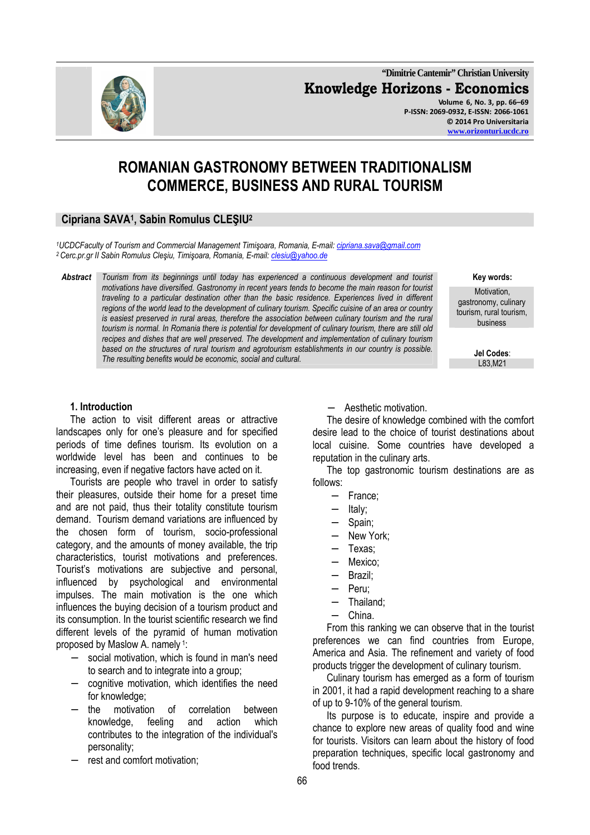**"Dimitrie Cantemir" Christian University Knowledge Horizons - Economics Volume 6, No. 3, pp. 66–69 P-ISSN: 2069-0932, E-ISSN: 2066-1061 © 2014 Pro Universitaria** 

# **ROMANIAN GASTRONOMY BETWEEN TRADITIONALISM COMMERCE, BUSINESS AND RURAL TOURISM**

# **Cipriana SAVA<sup>1</sup> , Sabin Romulus CLEŞIU<sup>2</sup>**

*<sup>1</sup>UCDCFaculty of Tourism and Commercial Management Timişoara, Romania, E-mail: cipriana.sava@gmail.com <sup>2</sup>Cerc.pr.gr II Sabin Romulus Cleşiu, Timişoara, Romania, E-mail: clesiu@yahoo.de*

*Abstract Tourism from its beginnings until today has experienced a continuous development and tourist motivations have diversified. Gastronomy in recent years tends to become the main reason for tourist traveling to a particular destination other than the basic residence. Experiences lived in different regions of the world lead to the development of culinary tourism. Specific cuisine of an area or country*  is easiest preserved in rural areas, therefore the association between culinary tourism and the rural *tourism is normal. In Romania there is potential for development of culinary tourism, there are still old recipes and dishes that are well preserved. The development and implementation of culinary tourism based on the structures of rural tourism and agrotourism establishments in our country is possible.*  The resulting benefits would be economic, social and cultural.

**Key words:** 

Motivation, gastronomy, culinary tourism, rural tourism, business

**Jel Codes**:

#### **1. Introduction**

The action to visit different areas or attractive landscapes only for one's pleasure and for specified periods of time defines tourism. Its evolution on a worldwide level has been and continues to be increasing, even if negative factors have acted on it.

Tourists are people who travel in order to satisfy their pleasures, outside their home for a preset time and are not paid, thus their totality constitute tourism demand. Tourism demand variations are influenced by the chosen form of tourism, socio-professional category, and the amounts of money available, the trip characteristics, tourist motivations and preferences. Tourist's motivations are subjective and personal, influenced by psychological and environmental impulses. The main motivation is the one which influences the buying decision of a tourism product and its consumption. In the tourist scientific research we find different levels of the pyramid of human motivation proposed by Maslow A. namely 1:

- social motivation, which is found in man's need to search and to integrate into a group;
- − cognitive motivation, which identifies the need for knowledge;
- − the motivation of correlation between knowledge, feeling and action which contributes to the integration of the individual's personality;
- rest and comfort motivation;

− Aesthetic motivation.

The desire of knowledge combined with the comfort desire lead to the choice of tourist destinations about local cuisine. Some countries have developed a reputation in the culinary arts.

The top gastronomic tourism destinations are as follows:

- − France;
- − Italy;
- − Spain;
- New York;
- − Texas;
- − Mexico;
- − Brazil;
- − Peru;
- − Thailand;
- − China.

From this ranking we can observe that in the tourist preferences we can find countries from Europe, America and Asia. The refinement and variety of food products trigger the development of culinary tourism.

Culinary tourism has emerged as a form of tourism in 2001, it had a rapid development reaching to a share of up to 9-10% of the general tourism.

Its purpose is to educate, inspire and provide a chance to explore new areas of quality food and wine for tourists. Visitors can learn about the history of food preparation techniques, specific local gastronomy and food trends.

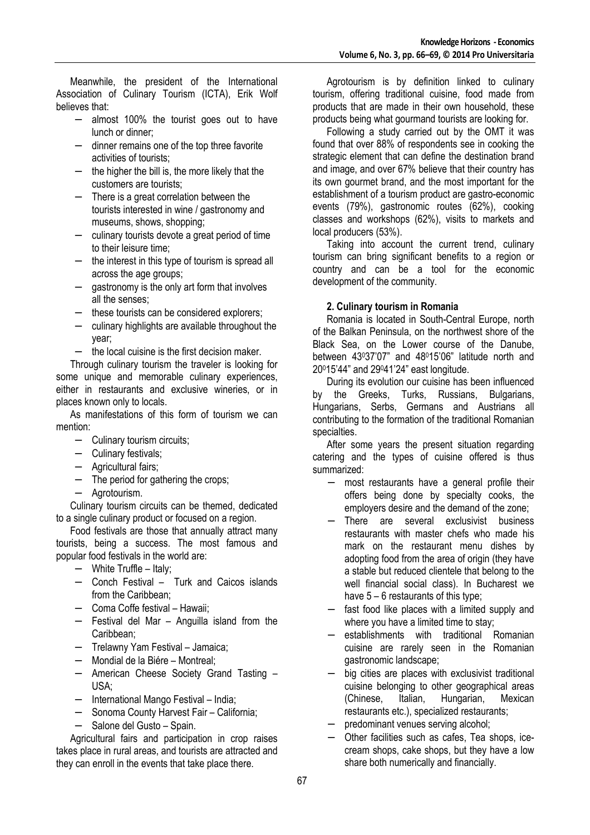Meanwhile, the president of the International Association of Culinary Tourism (ICTA), Erik Wolf believes that:

- − almost 100% the tourist goes out to have lunch or dinner;
- − dinner remains one of the top three favorite activities of tourists;
- − the higher the bill is, the more likely that the customers are tourists;
- − There is a great correlation between the tourists interested in wine / gastronomy and museums, shows, shopping;
- − culinary tourists devote a great period of time to their leisure time;
- − the interest in this type of tourism is spread all across the age groups;
- − gastronomy is the only art form that involves all the senses;
- − these tourists can be considered explorers;
- − culinary highlights are available throughout the year;
- − the local cuisine is the first decision maker.

Through culinary tourism the traveler is looking for some unique and memorable culinary experiences, either in restaurants and exclusive wineries, or in places known only to locals.

As manifestations of this form of tourism we can mention:

- − Culinary tourism circuits;
- − Culinary festivals;
- − Agricultural fairs;
- − The period for gathering the crops;
- − Agrotourism.

Culinary tourism circuits can be themed, dedicated to a single culinary product or focused on a region.

Food festivals are those that annually attract many tourists, being a success. The most famous and popular food festivals in the world are:

- − White Truffle Italy;
- − Conch Festival Turk and Caicos islands from the Caribbean;
- − Coma Coffe festival Hawaii;
- − Festival del Mar Anguilla island from the Caribbean;
- − Trelawny Yam Festival Jamaica;
- − Mondial de la Biére Montreal;
- − American Cheese Society Grand Tasting USA;
- − International Mango Festival India;
- − Sonoma County Harvest Fair California;
- − Salone del Gusto Spain.

Agricultural fairs and participation in crop raises takes place in rural areas, and tourists are attracted and they can enroll in the events that take place there.

Agrotourism is by definition linked to culinary tourism, offering traditional cuisine, food made from products that are made in their own household, these products being what gourmand tourists are looking for.

Following a study carried out by the OMT it was found that over 88% of respondents see in cooking the strategic element that can define the destination brand and image, and over 67% believe that their country has its own gourmet brand, and the most important for the establishment of a tourism product are gastro-economic events (79%), gastronomic routes (62%), cooking classes and workshops (62%), visits to markets and local producers (53%).

Taking into account the current trend, culinary tourism can bring significant benefits to a region or country and can be a tool for the economic development of the community.

#### **2. Culinary tourism in Romania**

Romania is located in South-Central Europe, north of the Balkan Peninsula, on the northwest shore of the Black Sea, on the Lower course of the Danube, between 43037'07" and 48015'06" latitude north and 20015'44" and 29041'24" east longitude.

During its evolution our cuisine has been influenced by the Greeks, Turks, Russians, Bulgarians, Hungarians, Serbs, Germans and Austrians all contributing to the formation of the traditional Romanian specialties.

After some years the present situation regarding catering and the types of cuisine offered is thus summarized:

- − most restaurants have a general profile their offers being done by specialty cooks, the employers desire and the demand of the zone;
- There are several exclusivist business restaurants with master chefs who made his mark on the restaurant menu dishes by adopting food from the area of origin (they have a stable but reduced clientele that belong to the well financial social class). In Bucharest we have 5 – 6 restaurants of this type;
- fast food like places with a limited supply and where you have a limited time to stay;
- establishments with traditional Romanian cuisine are rarely seen in the Romanian gastronomic landscape;
- big cities are places with exclusivist traditional cuisine belonging to other geographical areas (Chinese, Italian, Hungarian, Mexican restaurants etc.), specialized restaurants;
- − predominant venues serving alcohol;
- − Other facilities such as cafes, Tea shops, icecream shops, cake shops, but they have a low share both numerically and financially.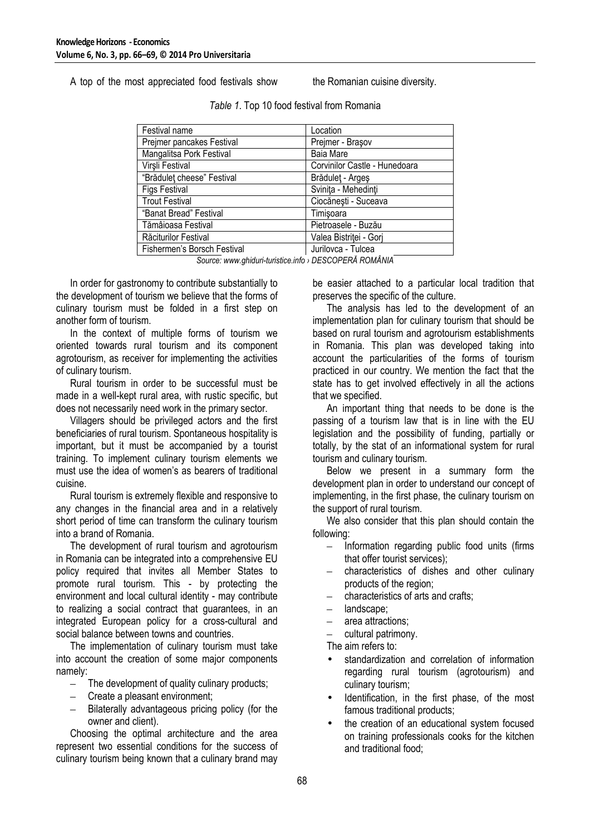A top of the most appreciated food festivals show the Romanian cuisine diversity.

| Festival name               | Location                      |  |
|-----------------------------|-------------------------------|--|
| Prejmer pancakes Festival   | Prejmer - Braşov              |  |
| Mangalitsa Pork Festival    | <b>Baia Mare</b>              |  |
| Virşli Festival             | Corvinilor Castle - Hunedoara |  |
| "Brădulet cheese" Festival  | Brădulet - Argeș              |  |
| <b>Figs Festival</b>        | Svinita - Mehedinți           |  |
| <b>Trout Festival</b>       | Ciocănești - Suceava          |  |
| "Banat Bread" Festival      | Timişoara                     |  |
| Tămâioasa Festival          | Pietroasele - Buzău           |  |
| Răciturilor Festival        | Valea Bistriței - Gorj        |  |
| Fishermen's Borsch Festival | Jurilovca - Tulcea            |  |

| Table 1. Top 10 food festival from Romania |  |  |  |  |  |  |
|--------------------------------------------|--|--|--|--|--|--|
|--------------------------------------------|--|--|--|--|--|--|

*Source: www.ghiduri-turistice.info › DESCOPERĂ ROMÂNIA* 

In order for gastronomy to contribute substantially to the development of tourism we believe that the forms of culinary tourism must be folded in a first step on another form of tourism.

In the context of multiple forms of tourism we oriented towards rural tourism and its component agrotourism, as receiver for implementing the activities of culinary tourism.

Rural tourism in order to be successful must be made in a well-kept rural area, with rustic specific, but does not necessarily need work in the primary sector.

Villagers should be privileged actors and the first beneficiaries of rural tourism. Spontaneous hospitality is important, but it must be accompanied by a tourist training. To implement culinary tourism elements we must use the idea of women's as bearers of traditional cuisine.

Rural tourism is extremely flexible and responsive to any changes in the financial area and in a relatively short period of time can transform the culinary tourism into a brand of Romania.

The development of rural tourism and agrotourism in Romania can be integrated into a comprehensive EU policy required that invites all Member States to promote rural tourism. This - by protecting the environment and local cultural identity - may contribute to realizing a social contract that guarantees, in an integrated European policy for a cross-cultural and social balance between towns and countries.

The implementation of culinary tourism must take into account the creation of some major components namely:

- The development of quality culinary products;
- Create a pleasant environment;
- Bilaterally advantageous pricing policy (for the owner and client).

Choosing the optimal architecture and the area represent two essential conditions for the success of culinary tourism being known that a culinary brand may

be easier attached to a particular local tradition that preserves the specific of the culture.

The analysis has led to the development of an implementation plan for culinary tourism that should be based on rural tourism and agrotourism establishments in Romania. This plan was developed taking into account the particularities of the forms of tourism practiced in our country. We mention the fact that the state has to get involved effectively in all the actions that we specified.

An important thing that needs to be done is the passing of a tourism law that is in line with the EU legislation and the possibility of funding, partially or totally, by the stat of an informational system for rural tourism and culinary tourism.

Below we present in a summary form the development plan in order to understand our concept of implementing, in the first phase, the culinary tourism on the support of rural tourism.

We also consider that this plan should contain the following:

- Information regarding public food units (firms that offer tourist services);
- characteristics of dishes and other culinary products of the region;
- characteristics of arts and crafts;
- landscape:
- area attractions;
- cultural patrimony.

The aim refers to:

- standardization and correlation of information regarding rural tourism (agrotourism) and culinary tourism;
- Identification, in the first phase, of the most famous traditional products;
- the creation of an educational system focused on training professionals cooks for the kitchen and traditional food;